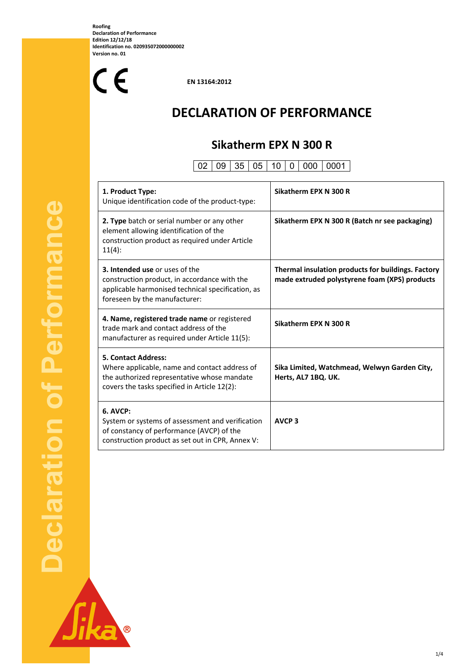**Roofing Declaration of Performance Edition 12/12/18 Identification no. 020935072000000002 Version no. 01** 

 $C<sub>f</sub>$ 

 **EN 13164:2012** 

# **DECLARATION OF PERFORMANCE**

## **Sikatherm EPX N 300 R**

## $\boxed{02}$   $\boxed{09}$   $\boxed{35}$   $\boxed{05}$   $\boxed{10}$   $\boxed{0}$   $\boxed{000}$   $\boxed{0001}$

| 1. Product Type:<br>Unique identification code of the product-type:                                                                                                         | Sikatherm EPX N 300 R                                                                               |
|-----------------------------------------------------------------------------------------------------------------------------------------------------------------------------|-----------------------------------------------------------------------------------------------------|
| 2. Type batch or serial number or any other<br>element allowing identification of the<br>construction product as required under Article<br>11(4):                           | Sikatherm EPX N 300 R (Batch nr see packaging)                                                      |
| <b>3. Intended use or uses of the</b><br>construction product, in accordance with the<br>applicable harmonised technical specification, as<br>foreseen by the manufacturer: | Thermal insulation products for buildings. Factory<br>made extruded polystyrene foam (XPS) products |
| 4. Name, registered trade name or registered<br>trade mark and contact address of the<br>manufacturer as required under Article 11(5):                                      | Sikatherm EPX N 300 R                                                                               |
| <b>5. Contact Address:</b><br>Where applicable, name and contact address of<br>the authorized representative whose mandate<br>covers the tasks specified in Article 12(2):  | Sika Limited, Watchmead, Welwyn Garden City,<br>Herts, AL7 1BQ. UK.                                 |
| $6.$ AVCP:<br>System or systems of assessment and verification<br>of constancy of performance (AVCP) of the<br>construction product as set out in CPR, Annex V:             | <b>AVCP<sub>3</sub></b>                                                                             |



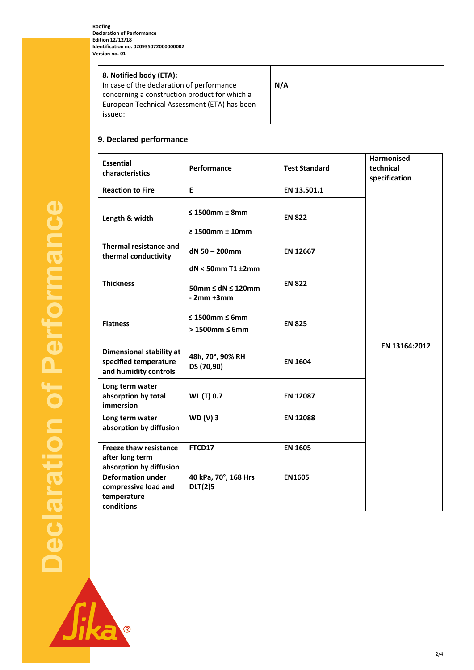| 8. Notified body (ETA):<br>In case of the declaration of performance<br>concerning a construction product for which a<br>European Technical Assessment (ETA) has been<br>issued: | N/A |
|----------------------------------------------------------------------------------------------------------------------------------------------------------------------------------|-----|
|----------------------------------------------------------------------------------------------------------------------------------------------------------------------------------|-----|

## **9. Declared performance**

| <b>Essential</b><br>characteristics                                               | Performance                                          | <b>Test Standard</b> | <b>Harmonised</b><br>technical<br>specification |
|-----------------------------------------------------------------------------------|------------------------------------------------------|----------------------|-------------------------------------------------|
| <b>Reaction to Fire</b>                                                           | Е                                                    | EN 13.501.1          |                                                 |
| Length & width                                                                    | $\leq$ 1500mm $\pm$ 8mm                              | <b>EN 822</b>        |                                                 |
|                                                                                   | $\geq 1500$ mm $\pm 10$ mm                           |                      |                                                 |
| Thermal resistance and<br>thermal conductivity                                    | dN 50 - 200mm                                        | EN 12667             |                                                 |
|                                                                                   | $dN < 50$ mm T1 $±2$ mm                              |                      |                                                 |
| <b>Thickness</b>                                                                  | $50$ mm $\leq$ dN $\leq$ 120mm<br>$-2mm+3mm$         | <b>EN 822</b>        |                                                 |
| <b>Flatness</b>                                                                   | $\leq 1500$ mm $\leq 6$ mm<br>$>1500$ mm $\leq 6$ mm | <b>EN 825</b>        |                                                 |
| <b>Dimensional stability at</b><br>specified temperature<br>and humidity controls | 48h, 70°, 90% RH<br>DS (70,90)                       | <b>EN 1604</b>       | EN 13164:2012                                   |
| Long term water<br>absorption by total<br>immersion                               | <b>WL (T) 0.7</b>                                    | EN 12087             |                                                 |
| Long term water<br>absorption by diffusion                                        | <b>WD (V) 3</b>                                      | <b>EN 12088</b>      |                                                 |
| <b>Freeze thaw resistance</b><br>after long term<br>absorption by diffusion       | FTCD17                                               | <b>EN 1605</b>       |                                                 |
| <b>Deformation under</b><br>compressive load and<br>temperature<br>conditions     | 40 kPa, 70°, 168 Hrs<br><b>DLT(2)5</b>               | EN1605               |                                                 |

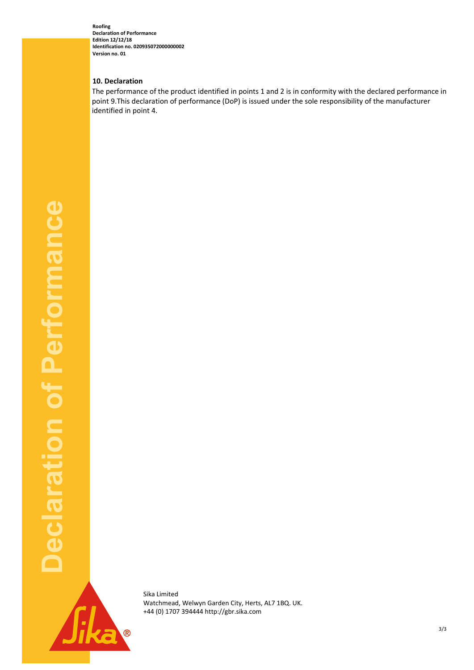**Roofing Declaration of Performance Edition 12/12/18 Identification no. 020935072000000002 Version no. 01** 

### **10. Declaration**

The performance of the product identified in points 1 and 2 is in conformity with the declared performance in point 9.This declaration of performance (DoP) is issued under the sole responsibility of the manufacturer identified in point 4.



Sika Limited Watchmead, Welwyn Garden City, Herts, AL7 1BQ. UK. +44 (0) 1707 394444 http://gbr.sika.com